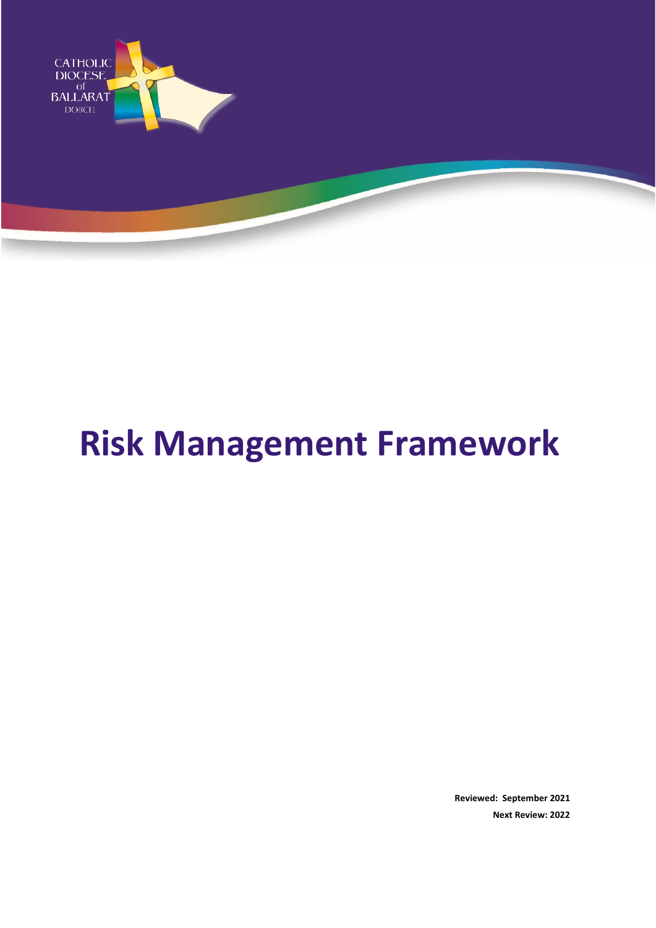

# **Risk Management Framework**

**Reviewed: September 2021 Next Review: 2022**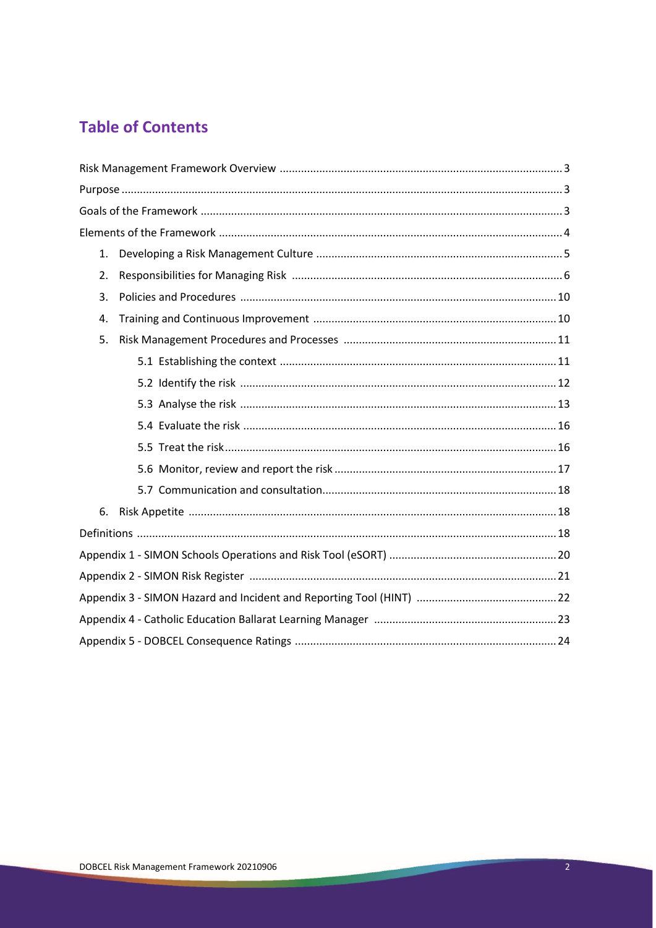# **Table of Contents**

| $\mathbf{1}$ . |  |
|----------------|--|
| 2.             |  |
| 3.             |  |
| 4.             |  |
| 5.             |  |
|                |  |
|                |  |
|                |  |
|                |  |
|                |  |
|                |  |
|                |  |
| 6.             |  |
|                |  |
|                |  |
|                |  |
|                |  |
|                |  |
|                |  |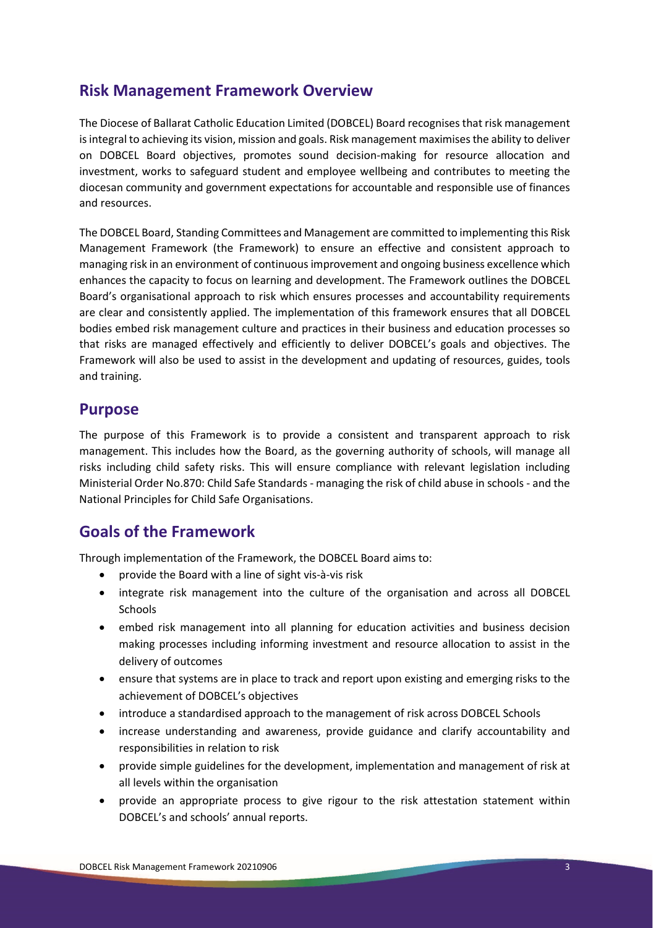# **Risk Management Framework Overview**

The Diocese of Ballarat Catholic Education Limited (DOBCEL) Board recognises that risk management is integral to achieving its vision, mission and goals. Risk management maximises the ability to deliver on DOBCEL Board objectives, promotes sound decision-making for resource allocation and investment, works to safeguard student and employee wellbeing and contributes to meeting the diocesan community and government expectations for accountable and responsible use of finances and resources.

The DOBCEL Board, Standing Committees and Management are committed to implementing this Risk Management Framework (the Framework) to ensure an effective and consistent approach to managing risk in an environment of continuous improvement and ongoing business excellence which enhances the capacity to focus on learning and development. The Framework outlines the DOBCEL Board's organisational approach to risk which ensures processes and accountability requirements are clear and consistently applied. The implementation of this framework ensures that all DOBCEL bodies embed risk management culture and practices in their business and education processes so that risks are managed effectively and efficiently to deliver DOBCEL's goals and objectives. The Framework will also be used to assist in the development and updating of resources, guides, tools and training.

### **Purpose**

The purpose of this Framework is to provide a consistent and transparent approach to risk management. This includes how the Board, as the governing authority of schools, will manage all risks including child safety risks. This will ensure compliance with relevant legislation including Ministerial Order No.870: Child Safe Standards - managing the risk of child abuse in schools - and the National Principles for Child Safe Organisations.

# **Goals of the Framework**

Through implementation of the Framework, the DOBCEL Board aims to:

- provide the Board with a line of sight vis-à-vis risk
- integrate risk management into the culture of the organisation and across all DOBCEL Schools
- embed risk management into all planning for education activities and business decision making processes including informing investment and resource allocation to assist in the delivery of outcomes
- ensure that systems are in place to track and report upon existing and emerging risks to the achievement of DOBCEL's objectives
- introduce a standardised approach to the management of risk across DOBCEL Schools
- increase understanding and awareness, provide guidance and clarify accountability and responsibilities in relation to risk
- provide simple guidelines for the development, implementation and management of risk at all levels within the organisation
- provide an appropriate process to give rigour to the risk attestation statement within DOBCEL's and schools' annual reports.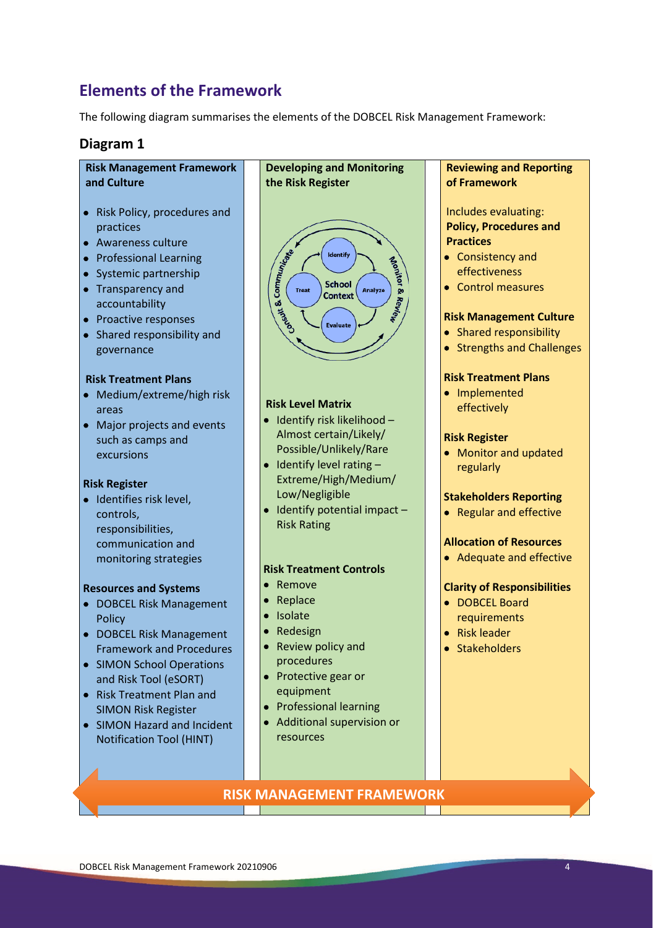# **Elements of the Framework**

The following diagram summarises the elements of the DOBCEL Risk Management Framework:

#### **Diagram 1**

#### **Risk Management Framework and Culture**

- Risk Policy, procedures and practices
- Awareness culture
- Professional Learning
- Systemic partnership
- Transparency and accountability
- Proactive responses
- Shared responsibility and governance

#### **Risk Treatment Plans**

- Medium/extreme/high risk areas
- Major projects and events such as camps and excursions

#### **Risk Register**

• Identifies risk level, controls, responsibilities, communication and monitoring strategies

#### **Resources and Systems**

- DOBCEL Risk Management **Policy**
- DOBCEL Risk Management Framework and Procedures
- SIMON School Operations and Risk Tool (eSORT)
- Risk Treatment Plan and SIMON Risk Register
- SIMON Hazard and Incident Notification Tool (HINT)



#### **Risk Level Matrix**

- Identify risk likelihood Almost certain/Likely/ Possible/Unlikely/Rare
- $\bullet$  Identify level rating  $-$ Extreme/High/Medium/ Low/Negligible
- Identify potential impact Risk Rating

#### **Risk Treatment Controls**

- Remove
- Replace
- Isolate
- Redesign
- Review policy and procedures
- Protective gear or equipment
- Professional learning
- Additional supervision or resources

# **Reviewing and Reporting of Framework** Includes evaluating: **Policy, Procedures and Practices** • Consistency and effectiveness • Control measures **Risk Management Culture** • Shared responsibility • Strengths and Challenges **Risk Treatment Plans** • Implemented effectively **Risk Register** • Monitor and updated regularly **Stakeholders Reporting** • Regular and effective **Allocation of Resources** • Adequate and effective

#### **Clarity of Responsibilities**

- DOBCEL Board requirements
- Risk leader
- Stakeholders

#### **RISK MANAGEMENT FRAMEWORK**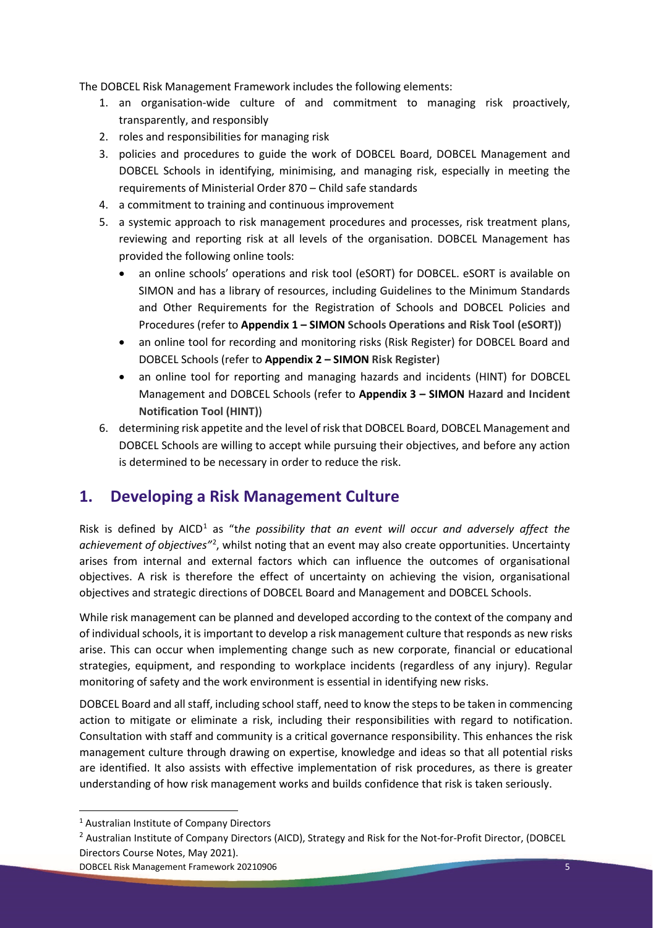The DOBCEL Risk Management Framework includes the following elements:

- 1. an organisation-wide culture of and commitment to managing risk proactively, transparently, and responsibly
- 2. roles and responsibilities for managing risk
- 3. policies and procedures to guide the work of DOBCEL Board, DOBCEL Management and DOBCEL Schools in identifying, minimising, and managing risk, especially in meeting the requirements of Ministerial Order 870 – Child safe standards
- 4. a commitment to training and continuous improvement
- 5. a systemic approach to risk management procedures and processes, risk treatment plans, reviewing and reporting risk at all levels of the organisation. DOBCEL Management has provided the following online tools:
	- an online schools' operations and risk tool (eSORT) for DOBCEL. eSORT is available on SIMON and has a library of resources, including Guidelines to the Minimum Standards and Other Requirements for the Registration of Schools and DOBCEL Policies and Procedures (refer to **Appendix 1 – SIMON Schools Operations and Risk Tool (eSORT)**)
	- an online tool for recording and monitoring risks (Risk Register) for DOBCEL Board and DOBCEL Schools (refer to **Appendix 2 – SIMON Risk Register**)
	- an online tool for reporting and managing hazards and incidents (HINT) for DOBCEL Management and DOBCEL Schools (refer to **Appendix 3 – SIMON Hazard and Incident Notification Tool (HINT)**)
- 6. determining risk appetite and the level of risk that DOBCEL Board, DOBCEL Management and DOBCEL Schools are willing to accept while pursuing their objectives, and before any action is determined to be necessary in order to reduce the risk.

# **1. Developing a Risk Management Culture**

Risk is defined by AICD<sup>[1](#page-4-0)</sup> as "the possibility that an event will occur and adversely affect the achievement of objectives"<sup>[2](#page-4-1)</sup>, whilst noting that an event may also create opportunities. Uncertainty arises from internal and external factors which can influence the outcomes of organisational objectives. A risk is therefore the effect of uncertainty on achieving the vision, organisational objectives and strategic directions of DOBCEL Board and Management and DOBCEL Schools.

While risk management can be planned and developed according to the context of the company and of individual schools, it is important to develop a risk management culture that responds as new risks arise. This can occur when implementing change such as new corporate, financial or educational strategies, equipment, and responding to workplace incidents (regardless of any injury). Regular monitoring of safety and the work environment is essential in identifying new risks.

DOBCEL Board and all staff, including school staff, need to know the steps to be taken in commencing action to mitigate or eliminate a risk, including their responsibilities with regard to notification. Consultation with staff and community is a critical governance responsibility. This enhances the risk management culture through drawing on expertise, knowledge and ideas so that all potential risks are identified. It also assists with effective implementation of risk procedures, as there is greater understanding of how risk management works and builds confidence that risk is taken seriously.

<span id="page-4-0"></span><sup>1</sup> Australian Institute of Company Directors

<span id="page-4-1"></span><sup>&</sup>lt;sup>2</sup> Australian Institute of Company Directors (AICD), Strategy and Risk for the Not-for-Profit Director, (DOBCEL Directors Course Notes, May 2021).

DOBCEL Risk Management Framework 20210906 5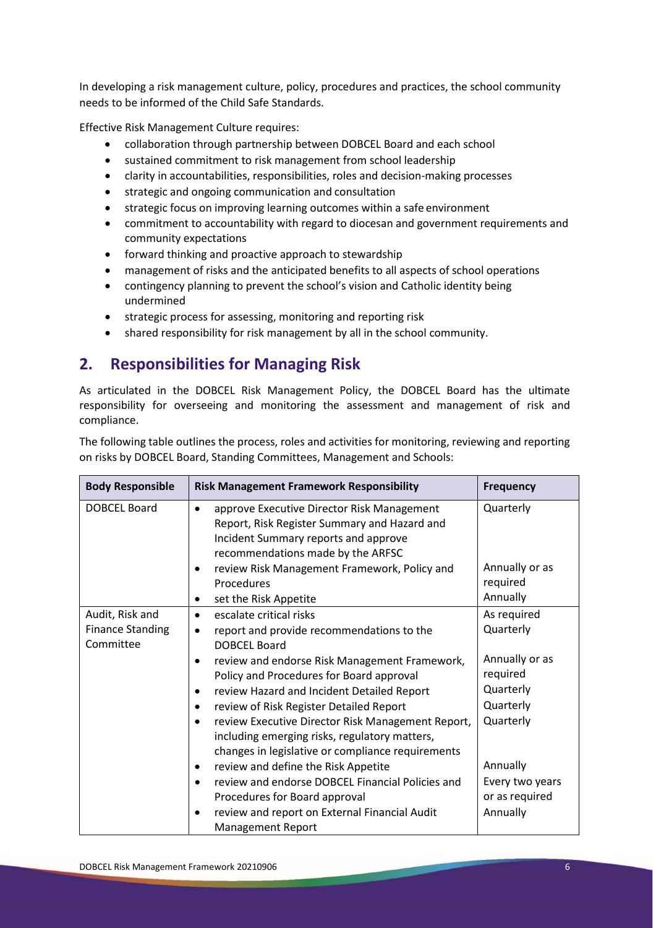In developing a risk management culture, policy, procedures and practices, the school community needs to be informed of the Child Safe Standards.

Effective Risk Management Culture requires:

- collaboration through partnership between DOBCEL Board and each school
- sustained commitment to risk management from school leadership
- clarity in accountabilities, responsibilities, roles and decision-making processes
- strategic and ongoing communication and consultation
- strategic focus on improving learning outcomes within a safe environment
- commitment to accountability with regard to diocesan and government requirements and community expectations
- forward thinking and proactive approach to stewardship
- management of risks and the anticipated benefits to all aspects of school operations
- contingency planning to prevent the school's vision and Catholic identity being undermined
- strategic process for assessing, monitoring and reporting risk
- shared responsibility for risk management by all in the school community.

# **2. Responsibilities for Managing Risk**

As articulated in the DOBCEL Risk Management Policy, the DOBCEL Board has the ultimate responsibility for overseeing and monitoring the assessment and management of risk and compliance.

The following table outlines the process, roles and activities for monitoring, reviewing and reporting on risks by DOBCEL Board, Standing Committees, Management and Schools:

| <b>Body Responsible</b> | <b>Risk Management Framework Responsibility</b>                                                                                                                         | <b>Frequency</b> |
|-------------------------|-------------------------------------------------------------------------------------------------------------------------------------------------------------------------|------------------|
| <b>DOBCEL Board</b>     | approve Executive Director Risk Management<br>Report, Risk Register Summary and Hazard and<br>Incident Summary reports and approve<br>recommendations made by the ARFSC | Quarterly        |
|                         | review Risk Management Framework, Policy and<br>$\bullet$                                                                                                               | Annually or as   |
|                         | Procedures                                                                                                                                                              | required         |
|                         | set the Risk Appetite<br>٠                                                                                                                                              | Annually         |
| Audit, Risk and         | escalate critical risks<br>$\bullet$                                                                                                                                    | As required      |
| <b>Finance Standing</b> | report and provide recommendations to the<br>$\bullet$                                                                                                                  | Quarterly        |
| Committee               | <b>DOBCEL Board</b>                                                                                                                                                     |                  |
|                         | review and endorse Risk Management Framework,                                                                                                                           | Annually or as   |
|                         | Policy and Procedures for Board approval                                                                                                                                | required         |
|                         | review Hazard and Incident Detailed Report<br>٠                                                                                                                         | Quarterly        |
|                         | review of Risk Register Detailed Report<br>٠                                                                                                                            | Quarterly        |
|                         | review Executive Director Risk Management Report,<br>$\bullet$<br>including emerging risks, regulatory matters,<br>changes in legislative or compliance requirements    | Quarterly        |
|                         | review and define the Risk Appetite<br>٠                                                                                                                                | Annually         |
|                         | review and endorse DOBCEL Financial Policies and                                                                                                                        | Every two years  |
|                         | Procedures for Board approval                                                                                                                                           | or as required   |
|                         | review and report on External Financial Audit<br><b>Management Report</b>                                                                                               | Annually         |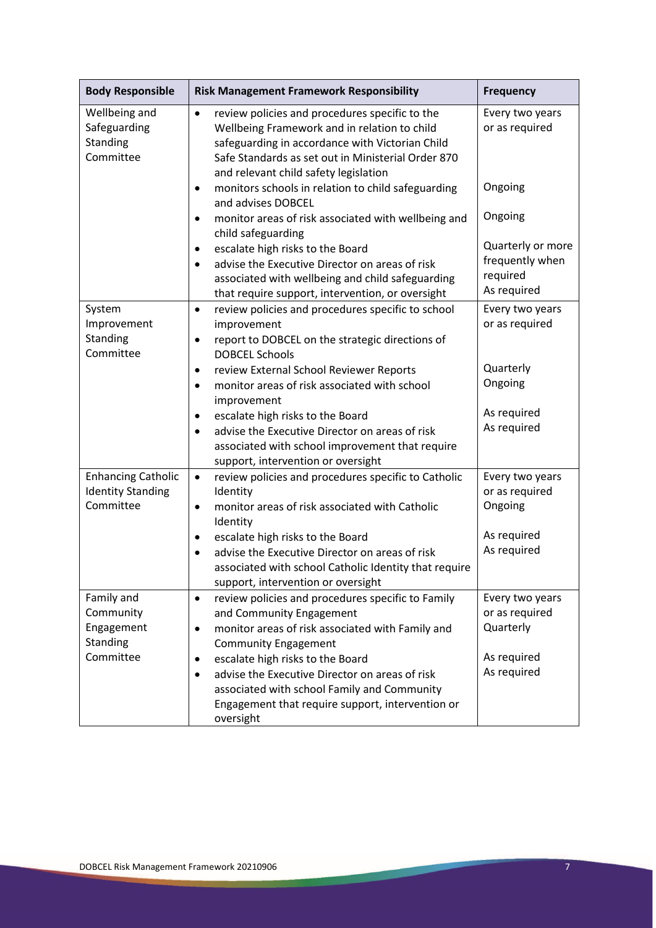| <b>Body Responsible</b>                                            | <b>Risk Management Framework Responsibility</b>                                                                                                                                                                                                               | <b>Frequency</b>                                                |
|--------------------------------------------------------------------|---------------------------------------------------------------------------------------------------------------------------------------------------------------------------------------------------------------------------------------------------------------|-----------------------------------------------------------------|
| Wellbeing and<br>Safeguarding<br>Standing<br>Committee             | review policies and procedures specific to the<br>$\bullet$<br>Wellbeing Framework and in relation to child<br>safeguarding in accordance with Victorian Child<br>Safe Standards as set out in Ministerial Order 870<br>and relevant child safety legislation | Every two years<br>or as required                               |
|                                                                    | monitors schools in relation to child safeguarding<br>٠<br>and advises DOBCEL                                                                                                                                                                                 | Ongoing                                                         |
|                                                                    | monitor areas of risk associated with wellbeing and<br>child safeguarding                                                                                                                                                                                     | Ongoing                                                         |
|                                                                    | escalate high risks to the Board<br>٠<br>advise the Executive Director on areas of risk<br>$\bullet$<br>associated with wellbeing and child safeguarding<br>that require support, intervention, or oversight                                                  | Quarterly or more<br>frequently when<br>required<br>As required |
| System<br>Improvement<br>Standing<br>Committee                     | review policies and procedures specific to school<br>$\bullet$<br>improvement<br>report to DOBCEL on the strategic directions of<br>٠<br><b>DOBCEL Schools</b>                                                                                                | Every two years<br>or as required                               |
|                                                                    | review External School Reviewer Reports<br>٠<br>monitor areas of risk associated with school<br>$\bullet$<br>improvement                                                                                                                                      | Quarterly<br>Ongoing                                            |
|                                                                    | escalate high risks to the Board<br>٠<br>advise the Executive Director on areas of risk<br>$\bullet$<br>associated with school improvement that require<br>support, intervention or oversight                                                                 | As required<br>As required                                      |
| <b>Enhancing Catholic</b><br><b>Identity Standing</b><br>Committee | review policies and procedures specific to Catholic<br>$\bullet$<br>Identity<br>monitor areas of risk associated with Catholic<br>$\bullet$<br>Identity                                                                                                       | Every two years<br>or as required<br>Ongoing                    |
|                                                                    | escalate high risks to the Board<br>٠<br>advise the Executive Director on areas of risk<br>associated with school Catholic Identity that require<br>support, intervention or oversight                                                                        | As required<br>As required                                      |
| Family and<br>Community<br>Engagement<br>Standing                  | review policies and procedures specific to Family<br>$\bullet$<br>and Community Engagement<br>monitor areas of risk associated with Family and<br>٠<br><b>Community Engagement</b>                                                                            | Every two years<br>or as required<br>Quarterly                  |
| Committee                                                          | escalate high risks to the Board<br>٠<br>advise the Executive Director on areas of risk<br>$\bullet$<br>associated with school Family and Community<br>Engagement that require support, intervention or<br>oversight                                          | As required<br>As required                                      |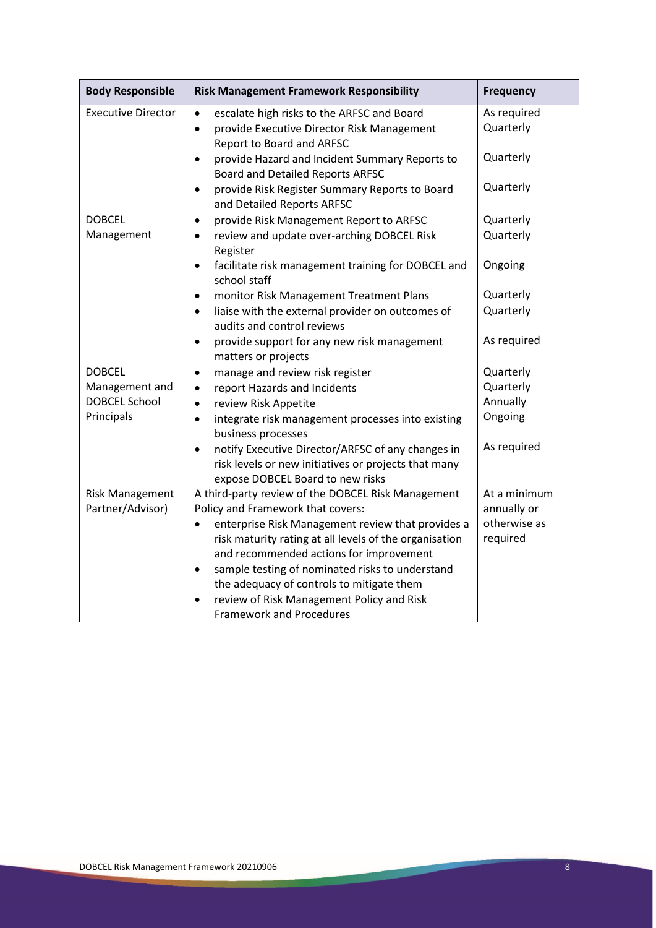| <b>Body Responsible</b>   | <b>Risk Management Framework Responsibility</b>                                 | <b>Frequency</b> |
|---------------------------|---------------------------------------------------------------------------------|------------------|
| <b>Executive Director</b> | escalate high risks to the ARFSC and Board<br>$\bullet$                         | As required      |
|                           | provide Executive Director Risk Management<br>$\bullet$                         | Quarterly        |
|                           | Report to Board and ARFSC                                                       |                  |
|                           | provide Hazard and Incident Summary Reports to<br>$\bullet$                     | Quarterly        |
|                           | Board and Detailed Reports ARFSC                                                |                  |
|                           | provide Risk Register Summary Reports to Board<br>$\bullet$                     | Quarterly        |
|                           | and Detailed Reports ARFSC                                                      |                  |
| <b>DOBCEL</b>             | provide Risk Management Report to ARFSC<br>$\bullet$                            | Quarterly        |
| Management                | review and update over-arching DOBCEL Risk<br>$\bullet$                         | Quarterly        |
|                           | Register                                                                        |                  |
|                           | facilitate risk management training for DOBCEL and<br>$\bullet$<br>school staff | Ongoing          |
|                           | monitor Risk Management Treatment Plans<br>$\bullet$                            | Quarterly        |
|                           | liaise with the external provider on outcomes of<br>$\bullet$                   | Quarterly        |
|                           | audits and control reviews                                                      |                  |
|                           | provide support for any new risk management<br>$\bullet$                        | As required      |
|                           | matters or projects                                                             |                  |
| <b>DOBCEL</b>             | manage and review risk register<br>$\bullet$                                    | Quarterly        |
| Management and            | report Hazards and Incidents<br>$\bullet$                                       | Quarterly        |
| <b>DOBCEL School</b>      | review Risk Appetite<br>$\bullet$                                               | Annually         |
| Principals                | integrate risk management processes into existing<br>$\bullet$                  | Ongoing          |
|                           | business processes                                                              |                  |
|                           | notify Executive Director/ARFSC of any changes in<br>$\bullet$                  | As required      |
|                           | risk levels or new initiatives or projects that many                            |                  |
|                           | expose DOBCEL Board to new risks                                                |                  |
| <b>Risk Management</b>    | A third-party review of the DOBCEL Risk Management                              | At a minimum     |
| Partner/Advisor)          | Policy and Framework that covers:                                               | annually or      |
|                           | enterprise Risk Management review that provides a<br>$\bullet$                  | otherwise as     |
|                           | risk maturity rating at all levels of the organisation                          | required         |
|                           | and recommended actions for improvement                                         |                  |
|                           | sample testing of nominated risks to understand<br>$\bullet$                    |                  |
|                           | the adequacy of controls to mitigate them                                       |                  |
|                           | review of Risk Management Policy and Risk<br>$\bullet$                          |                  |
|                           | <b>Framework and Procedures</b>                                                 |                  |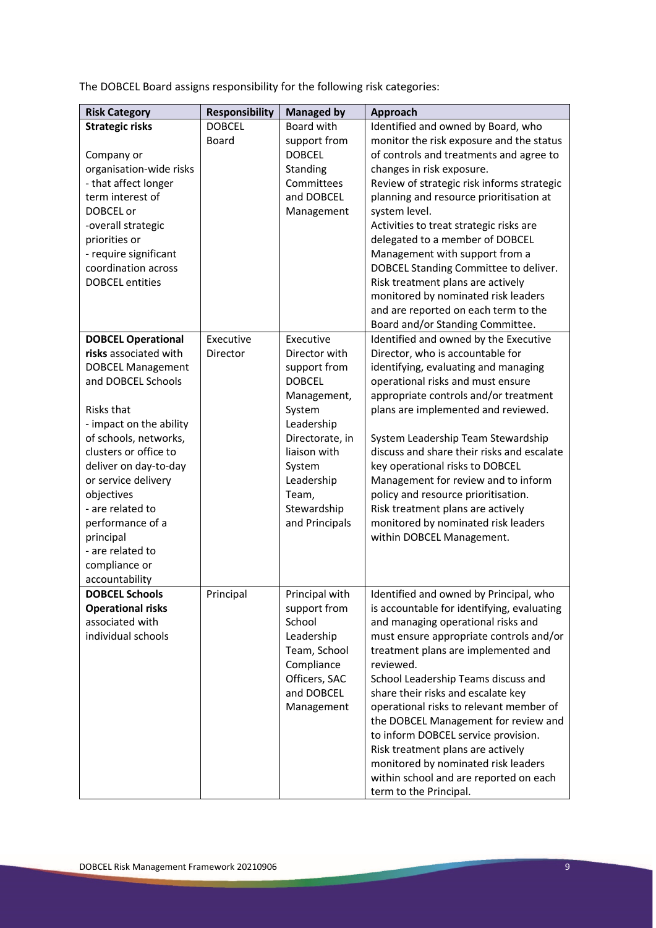The DOBCEL Board assigns responsibility for the following risk categories:

| <b>Risk Category</b>      | <b>Responsibility</b> | <b>Managed by</b> | Approach                                   |
|---------------------------|-----------------------|-------------------|--------------------------------------------|
| <b>Strategic risks</b>    | <b>DOBCEL</b>         | Board with        | Identified and owned by Board, who         |
|                           | <b>Board</b>          | support from      | monitor the risk exposure and the status   |
| Company or                |                       | <b>DOBCEL</b>     | of controls and treatments and agree to    |
| organisation-wide risks   |                       | Standing          | changes in risk exposure.                  |
| - that affect longer      |                       | Committees        | Review of strategic risk informs strategic |
| term interest of          |                       | and DOBCEL        | planning and resource prioritisation at    |
| DOBCEL or                 |                       | Management        | system level.                              |
| -overall strategic        |                       |                   | Activities to treat strategic risks are    |
| priorities or             |                       |                   | delegated to a member of DOBCEL            |
| - require significant     |                       |                   | Management with support from a             |
| coordination across       |                       |                   | DOBCEL Standing Committee to deliver.      |
| <b>DOBCEL</b> entities    |                       |                   | Risk treatment plans are actively          |
|                           |                       |                   | monitored by nominated risk leaders        |
|                           |                       |                   | and are reported on each term to the       |
|                           |                       |                   | Board and/or Standing Committee.           |
| <b>DOBCEL Operational</b> | Executive             | Executive         | Identified and owned by the Executive      |
| risks associated with     | Director              | Director with     | Director, who is accountable for           |
| <b>DOBCEL Management</b>  |                       | support from      | identifying, evaluating and managing       |
| and DOBCEL Schools        |                       | <b>DOBCEL</b>     | operational risks and must ensure          |
|                           |                       | Management,       | appropriate controls and/or treatment      |
| <b>Risks that</b>         |                       | System            | plans are implemented and reviewed.        |
| - impact on the ability   |                       | Leadership        |                                            |
| of schools, networks,     |                       | Directorate, in   | System Leadership Team Stewardship         |
| clusters or office to     |                       | liaison with      | discuss and share their risks and escalate |
| deliver on day-to-day     |                       | System            | key operational risks to DOBCEL            |
| or service delivery       |                       | Leadership        | Management for review and to inform        |
| objectives                |                       | Team,             | policy and resource prioritisation.        |
| - are related to          |                       | Stewardship       | Risk treatment plans are actively          |
| performance of a          |                       | and Principals    | monitored by nominated risk leaders        |
| principal                 |                       |                   | within DOBCEL Management.                  |
| - are related to          |                       |                   |                                            |
| compliance or             |                       |                   |                                            |
| accountability            |                       |                   |                                            |
| <b>DOBCEL Schools</b>     | Principal             | Principal with    | Identified and owned by Principal, who     |
| <b>Operational risks</b>  |                       | support from      | is accountable for identifying, evaluating |
| associated with           |                       | School            | and managing operational risks and         |
| individual schools        |                       | Leadership        | must ensure appropriate controls and/or    |
|                           |                       | Team, School      | treatment plans are implemented and        |
|                           |                       | Compliance        | reviewed.                                  |
|                           |                       | Officers, SAC     | School Leadership Teams discuss and        |
|                           |                       | and DOBCEL        | share their risks and escalate key         |
|                           |                       | Management        | operational risks to relevant member of    |
|                           |                       |                   | the DOBCEL Management for review and       |
|                           |                       |                   | to inform DOBCEL service provision.        |
|                           |                       |                   | Risk treatment plans are actively          |
|                           |                       |                   | monitored by nominated risk leaders        |
|                           |                       |                   | within school and are reported on each     |
|                           |                       |                   | term to the Principal.                     |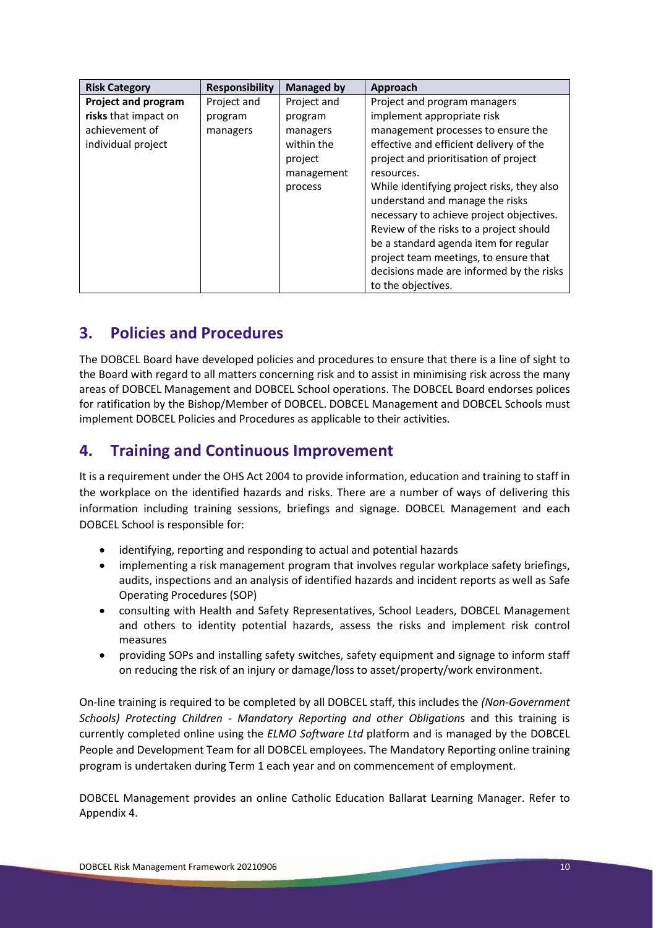| <b>Risk Category</b>       | <b>Responsibility</b> | <b>Managed by</b> | <b>Approach</b>                            |
|----------------------------|-----------------------|-------------------|--------------------------------------------|
| <b>Project and program</b> | Project and           | Project and       | Project and program managers               |
| risks that impact on       | program               | program           | implement appropriate risk                 |
| achievement of             | managers              | managers          | management processes to ensure the         |
| individual project         |                       | within the        | effective and efficient delivery of the    |
|                            |                       | project           | project and prioritisation of project      |
|                            |                       | management        | resources.                                 |
|                            |                       | process           | While identifying project risks, they also |
|                            |                       |                   | understand and manage the risks            |
|                            |                       |                   | necessary to achieve project objectives.   |
|                            |                       |                   | Review of the risks to a project should    |
|                            |                       |                   | be a standard agenda item for regular      |
|                            |                       |                   | project team meetings, to ensure that      |
|                            |                       |                   | decisions made are informed by the risks   |
|                            |                       |                   | to the objectives.                         |

# **3. Policies and Procedures**

The DOBCEL Board have developed policies and procedures to ensure that there is a line of sight to the Board with regard to all matters concerning risk and to assist in minimising risk across the many areas of DOBCEL Management and DOBCEL School operations. The DOBCEL Board endorses polices for ratification by the Bishop/Member of DOBCEL. DOBCEL Management and DOBCEL Schools must implement DOBCEL Policies and Procedures as applicable to their activities.

# **4. Training and Continuous Improvement**

It is a requirement under the OHS Act 2004 to provide information, education and training to staff in the workplace on the identified hazards and risks. There are a number of ways of delivering this information including training sessions, briefings and signage. DOBCEL Management and each DOBCEL School is responsible for:

- identifying, reporting and responding to actual and potential hazards
- implementing a risk management program that involves regular workplace safety briefings, audits, inspections and an analysis of identified hazards and incident reports as well as Safe Operating Procedures (SOP)
- consulting with Health and Safety Representatives, School Leaders, DOBCEL Management and others to identity potential hazards, assess the risks and implement risk control measures
- providing SOPs and installing safety switches, safety equipment and signage to inform staff on reducing the risk of an injury or damage/loss to asset/property/work environment.

On-line training is required to be completed by all DOBCEL staff, this includes the *(Non-Government Schools) Protecting Children - Mandatory Reporting and other Obligation*s and this training is currently completed online using the *ELMO Software Ltd* platform and is managed by the DOBCEL People and Development Team for all DOBCEL employees. The Mandatory Reporting online training program is undertaken during Term 1 each year and on commencement of employment.

DOBCEL Management provides an online Catholic Education Ballarat Learning Manager. Refer to Appendix 4.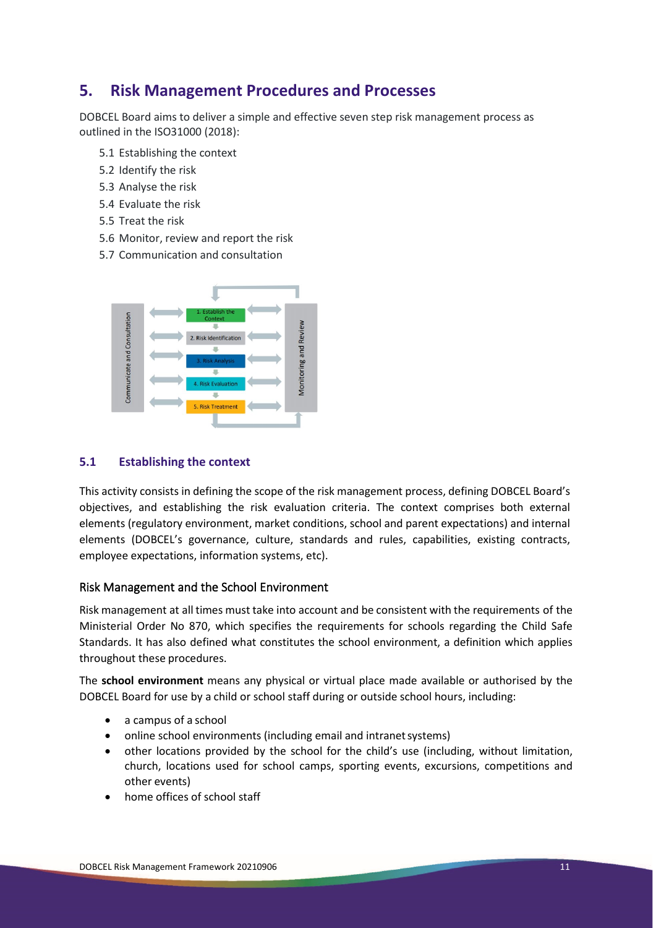# **5. Risk Management Procedures and Processes**

DOBCEL Board aims to deliver a simple and effective seven step risk management process as outlined in the ISO31000 (2018):

- 5.1 Establishing the context
- 5.2 Identify the risk
- 5.3 Analyse the risk
- 5.4 Evaluate the risk
- 5.5 Treat the risk
- 5.6 Monitor, review and report the risk
- 5.7 Communication and consultation



#### **5.1 Establishing the context**

This activity consists in defining the scope of the risk management process, defining DOBCEL Board's objectives, and establishing the risk evaluation criteria. The context comprises both external elements (regulatory environment, market conditions, school and parent expectations) and internal elements (DOBCEL's governance, culture, standards and rules, capabilities, existing contracts, employee expectations, information systems, etc).

#### Risk Management and the School Environment

Risk management at all times must take into account and be consistent with the requirements of the Ministerial Order No 870, which specifies the requirements for schools regarding the Child Safe Standards. It has also defined what constitutes the school environment, a definition which applies throughout these procedures.

The **school environment** means any physical or virtual place made available or authorised by the DOBCEL Board for use by a child or school staff during or outside school hours, including:

- a campus of a school
- online school environments (including email and intranet systems)
- other locations provided by the school for the child's use (including, without limitation, church, locations used for school camps, sporting events, excursions, competitions and other events)
- home offices of school staff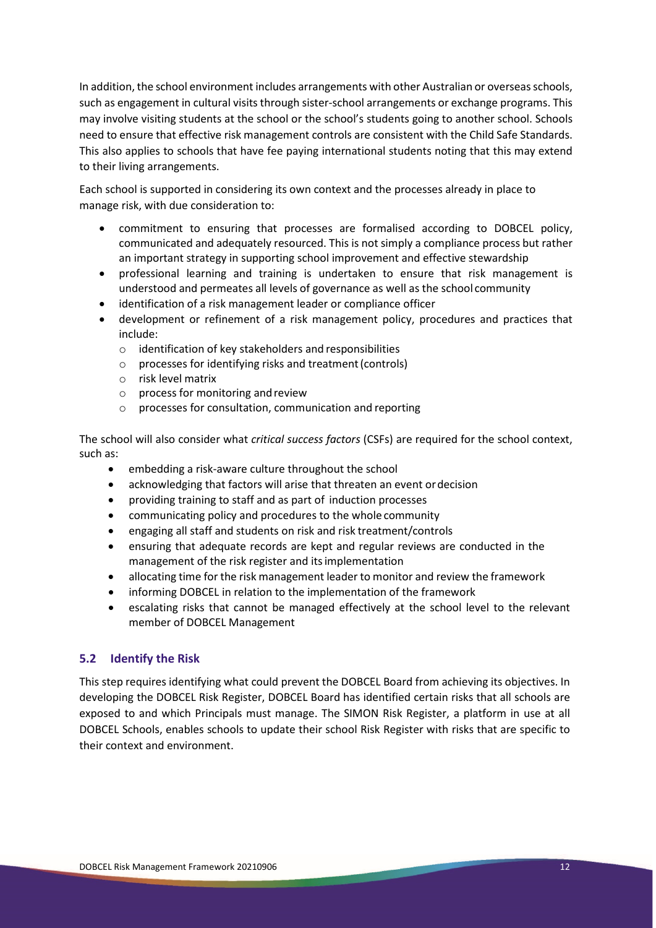In addition, the school environment includes arrangements with other Australian or overseas schools, such as engagement in cultural visits through sister-school arrangements or exchange programs. This may involve visiting students at the school or the school's students going to another school. Schools need to ensure that effective risk management controls are consistent with the Child Safe Standards. This also applies to schools that have fee paying international students noting that this may extend to their living arrangements.

Each school is supported in considering its own context and the processes already in place to manage risk, with due consideration to:

- commitment to ensuring that processes are formalised according to DOBCEL policy, communicated and adequately resourced. This is not simply a compliance process but rather an important strategy in supporting school improvement and effective stewardship
- professional learning and training is undertaken to ensure that risk management is understood and permeates all levels of governance as well as the school community
- identification of a risk management leader or compliance officer
- development or refinement of a risk management policy, procedures and practices that include:
	- o identification of key stakeholders and responsibilities
	- o processes for identifying risks and treatment(controls)
	- o risk level matrix
	- $\circ$  process for monitoring and review
	- o processes for consultation, communication and reporting

The school will also consider what *critical success factors* (CSFs) are required for the school context, such as:

- embedding a risk-aware culture throughout the school
- acknowledging that factors will arise that threaten an event ordecision
- providing training to staff and as part of induction processes
- communicating policy and procedures to the whole community
- engaging all staff and students on risk and risk treatment/controls
- ensuring that adequate records are kept and regular reviews are conducted in the management of the risk register and itsimplementation
- allocating time for the risk management leader to monitor and review the framework
- informing DOBCEL in relation to the implementation of the framework
- escalating risks that cannot be managed effectively at the school level to the relevant member of DOBCEL Management

#### **5.2 Identify the Risk**

This step requires identifying what could prevent the DOBCEL Board from achieving its objectives. In developing the DOBCEL Risk Register, DOBCEL Board has identified certain risks that all schools are exposed to and which Principals must manage. The SIMON Risk Register, a platform in use at all DOBCEL Schools, enables schools to update their school Risk Register with risks that are specific to their context and environment.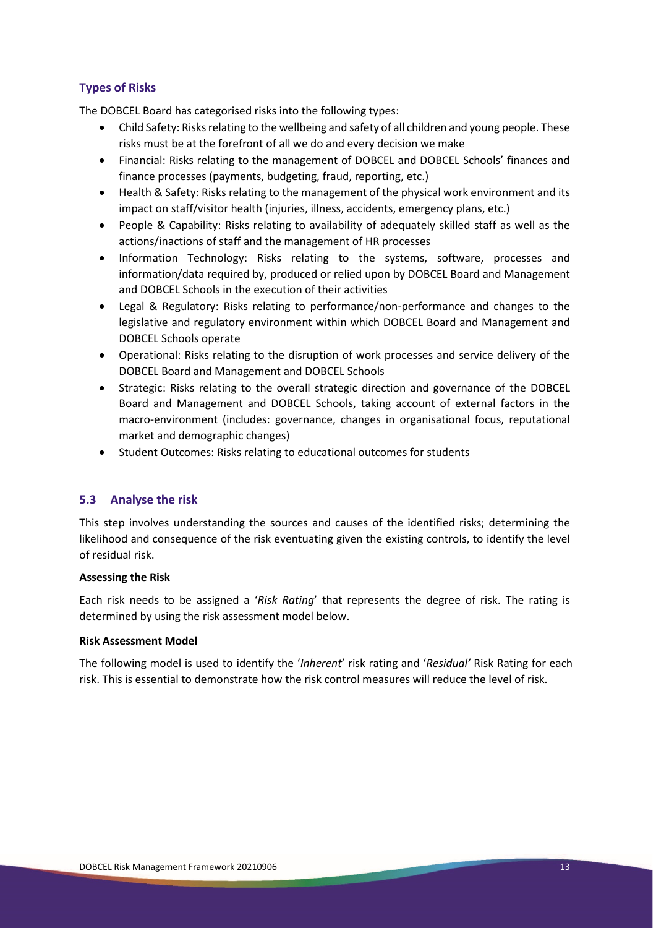#### **Types of Risks**

The DOBCEL Board has categorised risks into the following types:

- Child Safety: Risks relating to the wellbeing and safety of all children and young people. These risks must be at the forefront of all we do and every decision we make
- Financial: Risks relating to the management of DOBCEL and DOBCEL Schools' finances and finance processes (payments, budgeting, fraud, reporting, etc.)
- Health & Safety: Risks relating to the management of the physical work environment and its impact on staff/visitor health (injuries, illness, accidents, emergency plans, etc.)
- People & Capability: Risks relating to availability of adequately skilled staff as well as the actions/inactions of staff and the management of HR processes
- Information Technology: Risks relating to the systems, software, processes and information/data required by, produced or relied upon by DOBCEL Board and Management and DOBCEL Schools in the execution of their activities
- Legal & Regulatory: Risks relating to performance/non-performance and changes to the legislative and regulatory environment within which DOBCEL Board and Management and DOBCEL Schools operate
- Operational: Risks relating to the disruption of work processes and service delivery of the DOBCEL Board and Management and DOBCEL Schools
- Strategic: Risks relating to the overall strategic direction and governance of the DOBCEL Board and Management and DOBCEL Schools, taking account of external factors in the macro-environment (includes: governance, changes in organisational focus, reputational market and demographic changes)
- Student Outcomes: Risks relating to educational outcomes for students

#### **5.3 Analyse the risk**

This step involves understanding the sources and causes of the identified risks; determining the likelihood and consequence of the risk eventuating given the existing controls, to identify the level of residual risk.

#### **Assessing the Risk**

Each risk needs to be assigned a '*Risk Rating*' that represents the degree of risk. The rating is determined by using the risk assessment model below.

#### **Risk Assessment Model**

The following model is used to identify the '*Inherent*' risk rating and '*Residual'* Risk Rating for each risk. This is essential to demonstrate how the risk control measures will reduce the level of risk.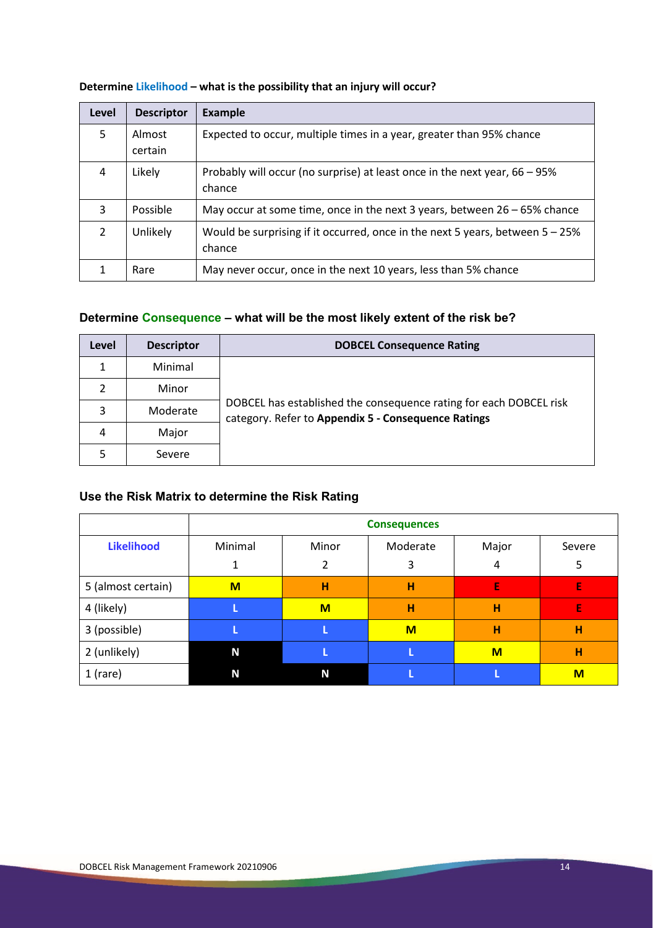| Level         | <b>Descriptor</b> | Example                                                                                    |
|---------------|-------------------|--------------------------------------------------------------------------------------------|
| 5             | Almost<br>certain | Expected to occur, multiple times in a year, greater than 95% chance                       |
| 4             | Likely            | Probably will occur (no surprise) at least once in the next year, 66 – 95%<br>chance       |
| 3             | Possible          | May occur at some time, once in the next 3 years, between $26 - 65\%$ chance               |
| $\mathcal{P}$ | Unlikely          | Would be surprising if it occurred, once in the next 5 years, between $5 - 25\%$<br>chance |
|               | Rare              | May never occur, once in the next 10 years, less than 5% chance                            |

#### **Determine Likelihood – what is the possibility that an injury will occur?**

### **Determine Consequence – what will be the most likely extent of the risk be?**

| Level | <b>Descriptor</b> | <b>DOBCEL Consequence Rating</b>                                                                                          |
|-------|-------------------|---------------------------------------------------------------------------------------------------------------------------|
| 1     | Minimal           |                                                                                                                           |
| 2     | Minor             |                                                                                                                           |
| 3     | Moderate          | DOBCEL has established the consequence rating for each DOBCEL risk<br>category. Refer to Appendix 5 - Consequence Ratings |
| 4     | Major             |                                                                                                                           |
|       | Severe            |                                                                                                                           |

### **Use the Risk Matrix to determine the Risk Rating**

|                    | <b>Consequences</b> |       |          |       |        |
|--------------------|---------------------|-------|----------|-------|--------|
| <b>Likelihood</b>  | Minimal             | Minor | Moderate | Major | Severe |
|                    |                     | 2     | 3        | 4     | 5      |
| 5 (almost certain) | $M$                 | н     | н        | E     | E      |
| 4 (likely)         |                     | M     | н        | н     | E      |
| 3 (possible)       |                     |       | M        | н     | н      |
| 2 (unlikely)       | N                   |       |          | M     | н      |
| $1$ (rare)         | N                   | N     |          |       | M      |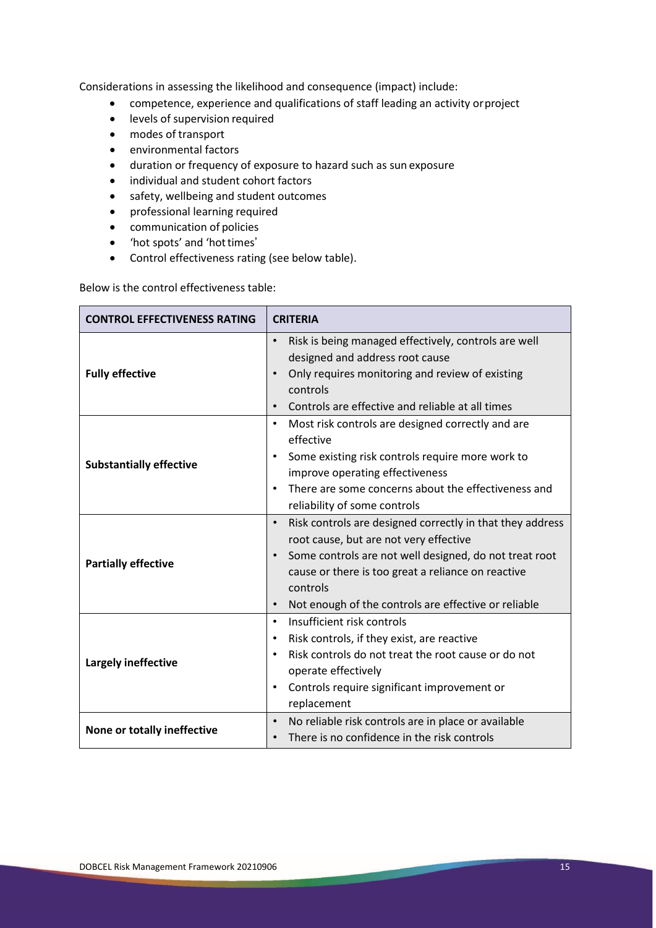Considerations in assessing the likelihood and consequence (impact) include:

- competence, experience and qualifications of staff leading an activity orproject
- levels of supervision required
- modes of transport
- environmental factors
- duration or frequency of exposure to hazard such as sun exposure
- individual and student cohort factors
- safety, wellbeing and student outcomes
- professional learning required
- communication of policies
- 'hot spots' and 'hottimes'
- Control effectiveness rating (see below table).

Below is the control effectiveness table:

| <b>CONTROL EFFECTIVENESS RATING</b> | <b>CRITERIA</b>                                                        |  |  |
|-------------------------------------|------------------------------------------------------------------------|--|--|
|                                     | Risk is being managed effectively, controls are well                   |  |  |
|                                     | designed and address root cause                                        |  |  |
| <b>Fully effective</b>              | Only requires monitoring and review of existing<br>$\bullet$           |  |  |
|                                     | controls                                                               |  |  |
|                                     | Controls are effective and reliable at all times<br>$\bullet$          |  |  |
|                                     | Most risk controls are designed correctly and are<br>$\bullet$         |  |  |
|                                     | effective                                                              |  |  |
| <b>Substantially effective</b>      | Some existing risk controls require more work to<br>$\bullet$          |  |  |
|                                     | improve operating effectiveness                                        |  |  |
|                                     | There are some concerns about the effectiveness and<br>$\bullet$       |  |  |
|                                     | reliability of some controls                                           |  |  |
|                                     | Risk controls are designed correctly in that they address<br>$\bullet$ |  |  |
|                                     | root cause, but are not very effective                                 |  |  |
|                                     | Some controls are not well designed, do not treat root                 |  |  |
| <b>Partially effective</b>          | cause or there is too great a reliance on reactive                     |  |  |
|                                     | controls                                                               |  |  |
|                                     | Not enough of the controls are effective or reliable<br>$\bullet$      |  |  |
|                                     | Insufficient risk controls<br>$\bullet$                                |  |  |
|                                     | Risk controls, if they exist, are reactive<br>$\bullet$                |  |  |
|                                     | Risk controls do not treat the root cause or do not                    |  |  |
| Largely ineffective                 | operate effectively                                                    |  |  |
|                                     | Controls require significant improvement or<br>$\bullet$               |  |  |
|                                     | replacement                                                            |  |  |
|                                     | No reliable risk controls are in place or available<br>$\bullet$       |  |  |
| None or totally ineffective         | There is no confidence in the risk controls                            |  |  |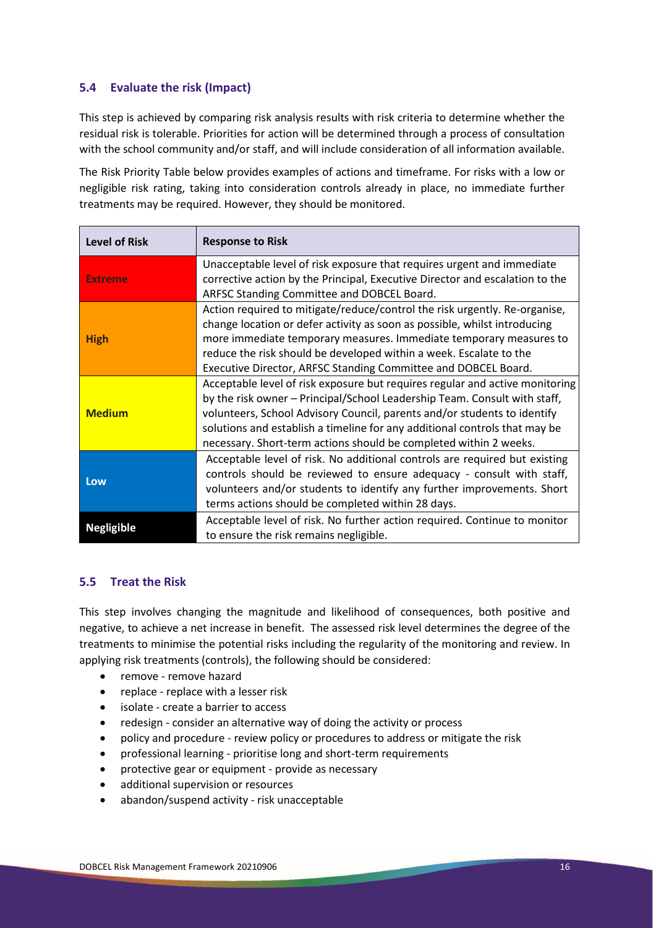#### **5.4 Evaluate the risk (Impact)**

This step is achieved by comparing risk analysis results with risk criteria to determine whether the residual risk is tolerable. Priorities for action will be determined through a process of consultation with the school community and/or staff, and will include consideration of all information available.

The Risk Priority Table below provides examples of actions and timeframe. For risks with a low or negligible risk rating, taking into consideration controls already in place, no immediate further treatments may be required. However, they should be monitored.

| <b>Level of Risk</b> | <b>Response to Risk</b>                                                                                                                                                                                                                                                                                                                                                                  |
|----------------------|------------------------------------------------------------------------------------------------------------------------------------------------------------------------------------------------------------------------------------------------------------------------------------------------------------------------------------------------------------------------------------------|
| <b>Extreme</b>       | Unacceptable level of risk exposure that requires urgent and immediate<br>corrective action by the Principal, Executive Director and escalation to the<br>ARFSC Standing Committee and DOBCEL Board.                                                                                                                                                                                     |
| <b>High</b>          | Action required to mitigate/reduce/control the risk urgently. Re-organise,<br>change location or defer activity as soon as possible, whilst introducing<br>more immediate temporary measures. Immediate temporary measures to<br>reduce the risk should be developed within a week. Escalate to the<br>Executive Director, ARFSC Standing Committee and DOBCEL Board.                    |
| <b>Medium</b>        | Acceptable level of risk exposure but requires regular and active monitoring<br>by the risk owner - Principal/School Leadership Team. Consult with staff,<br>volunteers, School Advisory Council, parents and/or students to identify<br>solutions and establish a timeline for any additional controls that may be<br>necessary. Short-term actions should be completed within 2 weeks. |
| Low                  | Acceptable level of risk. No additional controls are required but existing<br>controls should be reviewed to ensure adequacy - consult with staff,<br>volunteers and/or students to identify any further improvements. Short<br>terms actions should be completed within 28 days.                                                                                                        |
| <b>Negligible</b>    | Acceptable level of risk. No further action required. Continue to monitor<br>to ensure the risk remains negligible.                                                                                                                                                                                                                                                                      |

#### **5.5 Treat the Risk**

This step involves changing the magnitude and likelihood of consequences, both positive and negative, to achieve a net increase in benefit. The assessed risk level determines the degree of the treatments to minimise the potential risks including the regularity of the monitoring and review. In applying risk treatments (controls), the following should be considered:

- remove remove hazard
- replace replace with a lesser risk
- isolate create a barrier to access
- redesign consider an alternative way of doing the activity or process
- policy and procedure review policy or procedures to address or mitigate the risk
- professional learning prioritise long and short-term requirements
- protective gear or equipment provide as necessary
- additional supervision or resources
- abandon/suspend activity risk unacceptable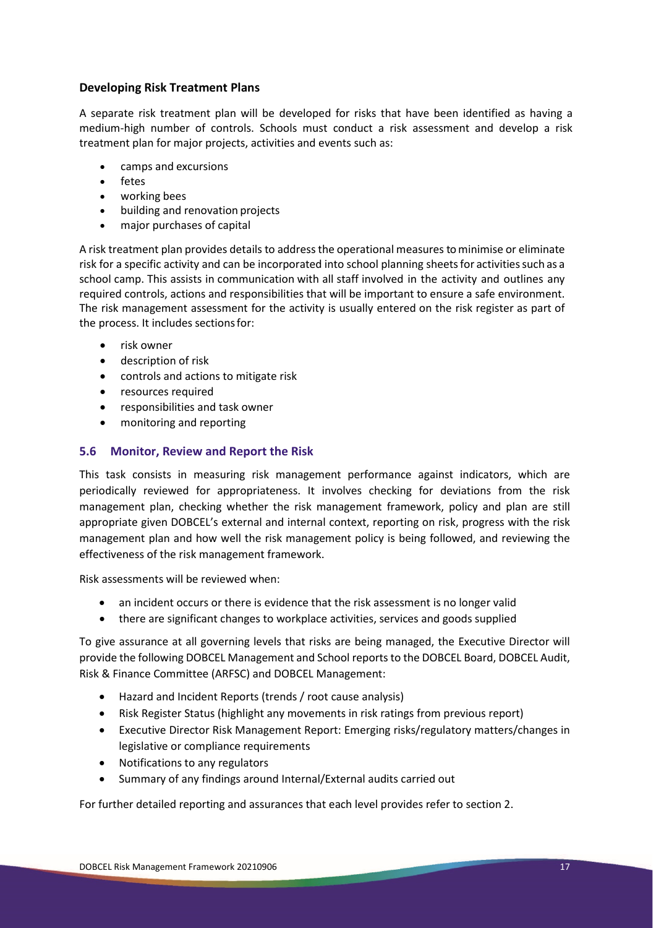#### **Developing Risk Treatment Plans**

A separate risk treatment plan will be developed for risks that have been identified as having a medium-high number of controls. Schools must conduct a risk assessment and develop a risk treatment plan for major projects, activities and events such as:

- camps and excursions
- fetes
- working bees
- building and renovation projects
- major purchases of capital

A risk treatment plan provides details to address the operational measures to minimise or eliminate risk for a specific activity and can be incorporated into school planning sheetsfor activitiessuch as a school camp. This assists in communication with all staff involved in the activity and outlines any required controls, actions and responsibilities that will be important to ensure a safe environment. The risk management assessment for the activity is usually entered on the risk register as part of the process. It includes sectionsfor:

- risk owner
- description of risk
- controls and actions to mitigate risk
- resources required
- responsibilities and task owner
- monitoring and reporting

#### **5.6 Monitor, Review and Report the Risk**

This task consists in measuring risk management performance against indicators, which are periodically reviewed for appropriateness. It involves checking for deviations from the risk management plan, checking whether the risk management framework, policy and plan are still appropriate given DOBCEL's external and internal context, reporting on risk, progress with the risk management plan and how well the risk management policy is being followed, and reviewing the effectiveness of the risk management framework.

Risk assessments will be reviewed when:

- an incident occurs or there is evidence that the risk assessment is no longer valid
- there are significant changes to workplace activities, services and goods supplied

To give assurance at all governing levels that risks are being managed, the Executive Director will provide the following DOBCEL Management and School reportsto the DOBCEL Board, DOBCEL Audit, Risk & Finance Committee (ARFSC) and DOBCEL Management:

- Hazard and Incident Reports (trends / root cause analysis)
- Risk Register Status (highlight any movements in risk ratings from previous report)
- Executive Director Risk Management Report: Emerging risks/regulatory matters/changes in legislative or compliance requirements
- Notifications to any regulators
- Summary of any findings around Internal/External audits carried out

For further detailed reporting and assurances that each level provides refer to section 2.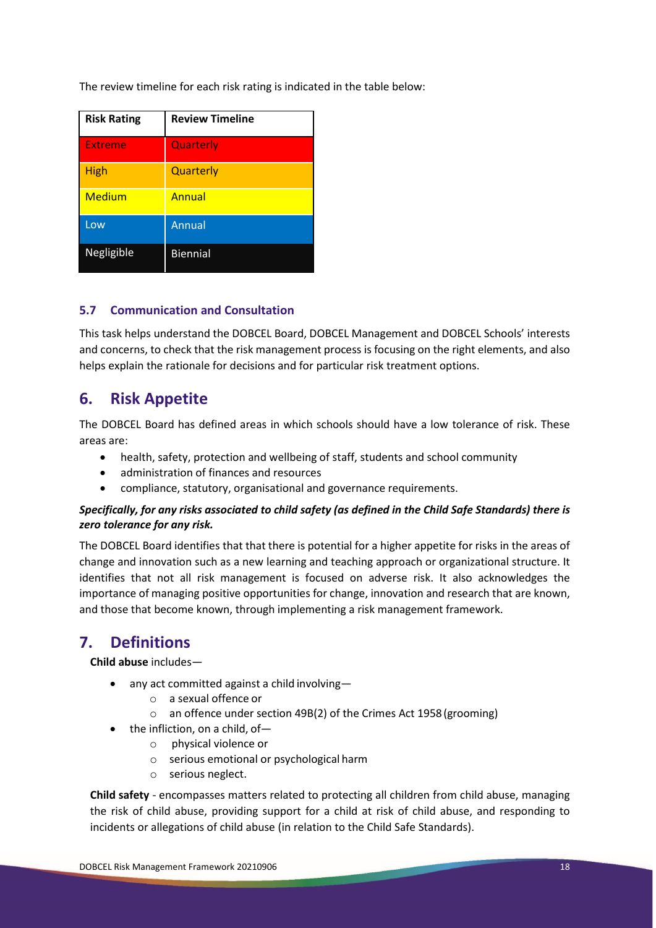The review timeline for each risk rating is indicated in the table below:

| <b>Risk Rating</b> | <b>Review Timeline</b> |
|--------------------|------------------------|
| Extreme            | Quarterly              |
| <b>High</b>        | Quarterly              |
| <b>Medium</b>      | Annual                 |
| Low                | Annual                 |
| Negligible         | <b>Biennial</b>        |

#### **5.7 Communication and Consultation**

This task helps understand the DOBCEL Board, DOBCEL Management and DOBCEL Schools' interests and concerns, to check that the risk management process is focusing on the right elements, and also helps explain the rationale for decisions and for particular risk treatment options.

# **6. Risk Appetite**

The DOBCEL Board has defined areas in which schools should have a low tolerance of risk. These areas are:

- health, safety, protection and wellbeing of staff, students and school community
- administration of finances and resources
- compliance, statutory, organisational and governance requirements.

#### *Specifically, for any risks associated to child safety (as defined in the Child Safe Standards) there is zero tolerance for any risk.*

The DOBCEL Board identifies that that there is potential for a higher appetite for risks in the areas of change and innovation such as a new learning and teaching approach or organizational structure. It identifies that not all risk management is focused on adverse risk. It also acknowledges the importance of managing positive opportunities for change, innovation and research that are known, and those that become known, through implementing a risk management framework.

# **7. Definitions**

**Child abuse** includes—

- any act committed against a child involving
	- o a sexual offence or
	- o an offence under section 49B(2) of the Crimes Act 1958(grooming)
- the infliction, on a child, of
	- o physical violence or
	- o serious emotional or psychological harm
	- o serious neglect.

**Child safety** - encompasses matters related to protecting all children from child abuse, managing the risk of child abuse, providing support for a child at risk of child abuse, and responding to incidents or allegations of child abuse (in relation to the Child Safe Standards).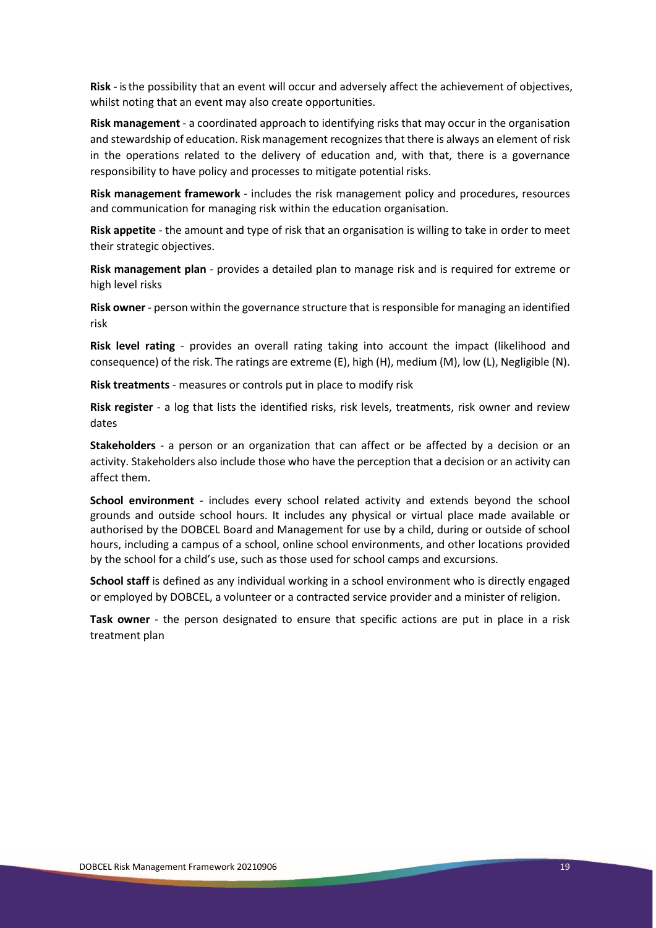**Risk** - is the possibility that an event will occur and adversely affect the achievement of objectives, whilst noting that an event may also create opportunities.

**Risk management** - a coordinated approach to identifying risks that may occur in the organisation and stewardship of education. Risk management recognizesthat there is always an element of risk in the operations related to the delivery of education and, with that, there is a governance responsibility to have policy and processes to mitigate potential risks.

**Risk management framework** - includes the risk management policy and procedures, resources and communication for managing risk within the education organisation.

**Risk appetite** - the amount and type of risk that an organisation is willing to take in order to meet their strategic objectives.

**Risk management plan** - provides a detailed plan to manage risk and is required for extreme or high level risks

**Risk owner** - person within the governance structure that is responsible for managing an identified risk

**Risk level rating** - provides an overall rating taking into account the impact (likelihood and consequence) of the risk. The ratings are extreme (E), high (H), medium (M), low (L), Negligible (N).

**Risk treatments** - measures or controls put in place to modify risk

**Risk register** - a log that lists the identified risks, risk levels, treatments, risk owner and review dates

**Stakeholders** - a person or an organization that can affect or be affected by a decision or an activity. Stakeholders also include those who have the perception that a decision or an activity can affect them.

**School environment** - includes every school related activity and extends beyond the school grounds and outside school hours. It includes any physical or virtual place made available or authorised by the DOBCEL Board and Management for use by a child, during or outside of school hours, including a campus of a school, online school environments, and other locations provided by the school for a child's use, such as those used for school camps and excursions.

**School staff** is defined as any individual working in a school environment who is directly engaged or employed by DOBCEL, a volunteer or a contracted service provider and a minister of religion.

**Task owner** - the person designated to ensure that specific actions are put in place in a risk treatment plan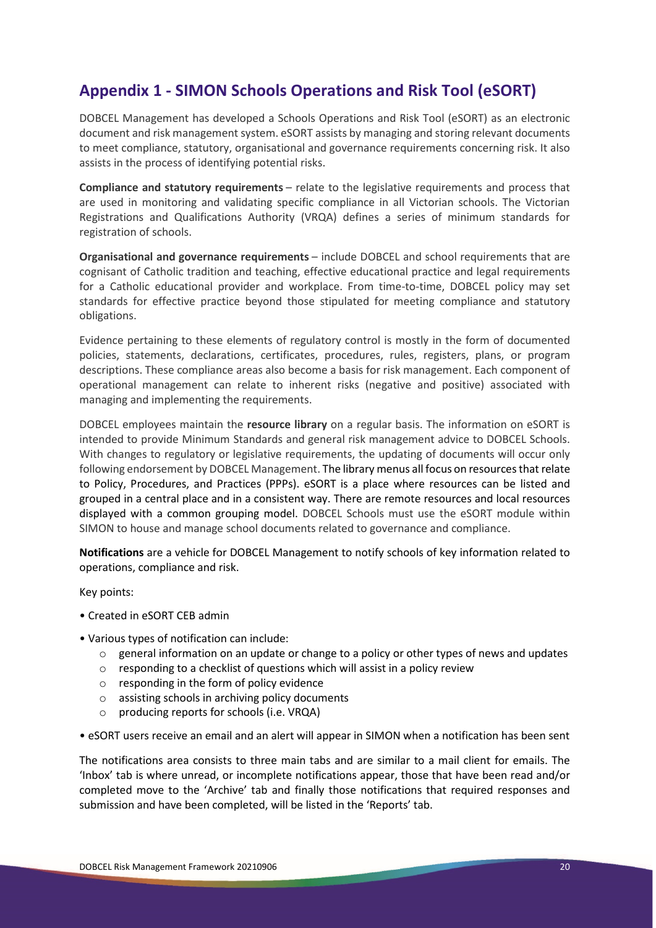# **Appendix 1 - SIMON Schools Operations and Risk Tool (eSORT)**

DOBCEL Management has developed a Schools Operations and Risk Tool (eSORT) as an electronic document and risk management system. eSORT assists by managing and storing relevant documents to meet compliance, statutory, organisational and governance requirements concerning risk. It also assists in the process of identifying potential risks.

**Compliance and statutory requirements** – relate to the legislative requirements and process that are used in monitoring and validating specific compliance in all Victorian schools. The Victorian Registrations and Qualifications Authority (VRQA) defines a series of minimum standards for registration of schools.

**Organisational and governance requirements** – include DOBCEL and school requirements that are cognisant of Catholic tradition and teaching, effective educational practice and legal requirements for a Catholic educational provider and workplace. From time-to-time, DOBCEL policy may set standards for effective practice beyond those stipulated for meeting compliance and statutory obligations.

Evidence pertaining to these elements of regulatory control is mostly in the form of documented policies, statements, declarations, certificates, procedures, rules, registers, plans, or program descriptions. These compliance areas also become a basis for risk management. Each component of operational management can relate to inherent risks (negative and positive) associated with managing and implementing the requirements.

DOBCEL employees maintain the **resource library** on a regular basis. The information on eSORT is intended to provide Minimum Standards and general risk management advice to DOBCEL Schools. With changes to regulatory or legislative requirements, the updating of documents will occur only following endorsement by DOBCEL Management. The library menus all focus on resources that relate to Policy, Procedures, and Practices (PPPs). eSORT is a place where resources can be listed and grouped in a central place and in a consistent way. There are remote resources and local resources displayed with a common grouping model. DOBCEL Schools must use the eSORT module within SIMON to house and manage school documents related to governance and compliance.

**Notifications** are a vehicle for DOBCEL Management to notify schools of key information related to operations, compliance and risk.

Key points:

- Created in eSORT CEB admin
- Various types of notification can include:
	- o general information on an update or change to a policy or other types of news and updates
	- o responding to a checklist of questions which will assist in a policy review
	- o responding in the form of policy evidence
	- o assisting schools in archiving policy documents
	- o producing reports for schools (i.e. VRQA)
- eSORT users receive an email and an alert will appear in SIMON when a notification has been sent

The notifications area consists to three main tabs and are similar to a mail client for emails. The 'Inbox' tab is where unread, or incomplete notifications appear, those that have been read and/or completed move to the 'Archive' tab and finally those notifications that required responses and submission and have been completed, will be listed in the 'Reports' tab.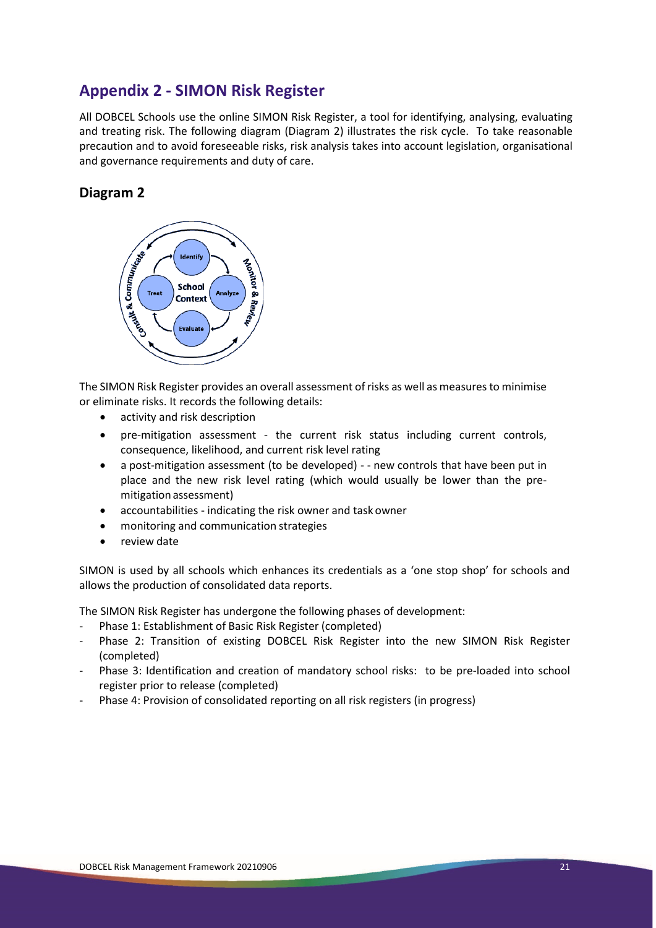# **Appendix 2 - SIMON Risk Register**

All DOBCEL Schools use the online SIMON Risk Register, a tool for identifying, analysing, evaluating and treating risk. The following diagram (Diagram 2) illustrates the risk cycle. To take reasonable precaution and to avoid foreseeable risks, risk analysis takes into account legislation, organisational and governance requirements and duty of care.

### **Diagram 2**



The SIMON Risk Register provides an overall assessment of risks as well as measures to minimise or eliminate risks. It records the following details:

- activity and risk description
- pre-mitigation assessment the current risk status including current controls, consequence, likelihood, and current risk level rating
- a post-mitigation assessment (to be developed) - new controls that have been put in place and the new risk level rating (which would usually be lower than the premitigation assessment)
- accountabilities indicating the risk owner and task owner
- monitoring and communication strategies
- review date

SIMON is used by all schools which enhances its credentials as a 'one stop shop' for schools and allows the production of consolidated data reports.

The SIMON Risk Register has undergone the following phases of development:

- Phase 1: Establishment of Basic Risk Register (completed)
- Phase 2: Transition of existing DOBCEL Risk Register into the new SIMON Risk Register (completed)
- Phase 3: Identification and creation of mandatory school risks: to be pre-loaded into school register prior to release (completed)
- Phase 4: Provision of consolidated reporting on all risk registers (in progress)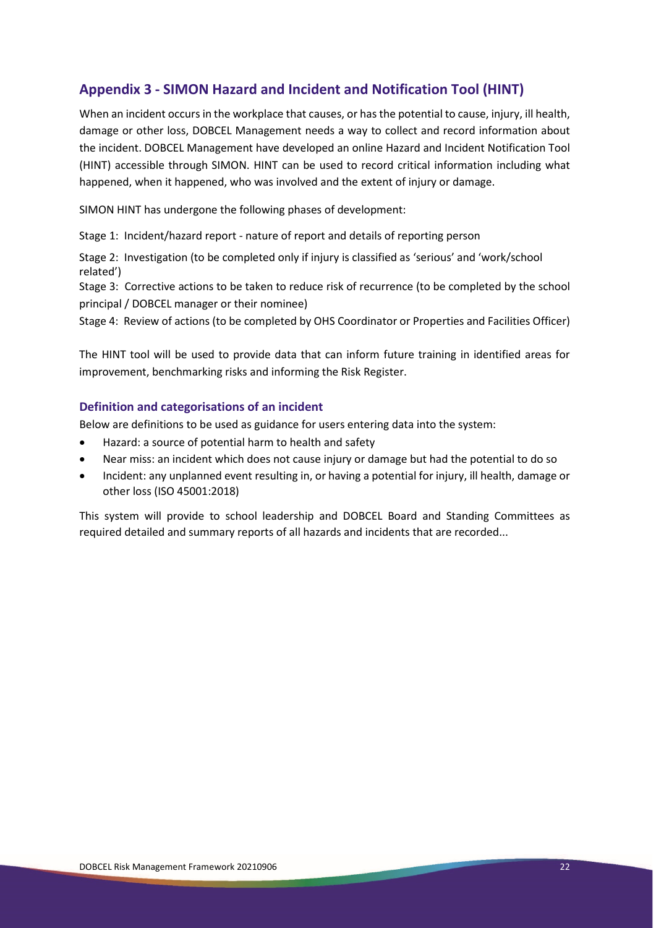## **Appendix 3 - SIMON Hazard and Incident and Notification Tool (HINT)**

When an incident occurs in the workplace that causes, or has the potential to cause, injury, ill health, damage or other loss, DOBCEL Management needs a way to collect and record information about the incident. DOBCEL Management have developed an online Hazard and Incident Notification Tool (HINT) accessible through SIMON. HINT can be used to record critical information including what happened, when it happened, who was involved and the extent of injury or damage.

SIMON HINT has undergone the following phases of development:

Stage 1: Incident/hazard report - nature of report and details of reporting person

Stage 2: Investigation (to be completed only if injury is classified as 'serious' and 'work/school related')

Stage 3: Corrective actions to be taken to reduce risk of recurrence (to be completed by the school principal / DOBCEL manager or their nominee)

Stage 4: Review of actions (to be completed by OHS Coordinator or Properties and Facilities Officer)

The HINT tool will be used to provide data that can inform future training in identified areas for improvement, benchmarking risks and informing the Risk Register.

#### **Definition and categorisations of an incident**

Below are definitions to be used as guidance for users entering data into the system:

- Hazard: a source of potential harm to health and safety
- Near miss: an incident which does not cause injury or damage but had the potential to do so
- Incident: any unplanned event resulting in, or having a potential for injury, ill health, damage or other loss (ISO 45001:2018)

This system will provide to school leadership and DOBCEL Board and Standing Committees as required detailed and summary reports of all hazards and incidents that are recorded...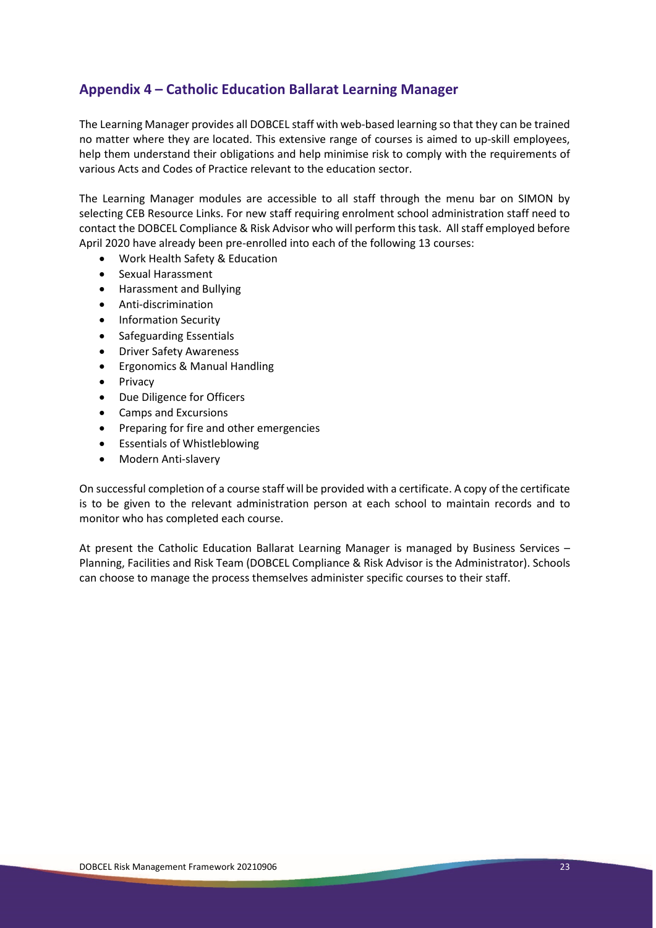### **Appendix 4 – Catholic Education Ballarat Learning Manager**

The Learning Manager provides all DOBCEL staff with web-based learning so that they can be trained no matter where they are located. This extensive range of courses is aimed to up-skill employees, help them understand their obligations and help minimise risk to comply with the requirements of various Acts and Codes of Practice relevant to the education sector.

The Learning Manager modules are accessible to all staff through the menu bar on SIMON by selecting CEB Resource Links. For new staff requiring enrolment school administration staff need to contact the DOBCEL Compliance & Risk Advisor who will perform this task. All staff employed before April 2020 have already been pre-enrolled into each of the following 13 courses:

- Work Health Safety & Education
- Sexual Harassment
- Harassment and Bullying
- Anti-discrimination
- Information Security
- Safeguarding Essentials
- Driver Safety Awareness
- Ergonomics & Manual Handling
- Privacy
- Due Diligence for Officers
- Camps and Excursions
- Preparing for fire and other emergencies
- Essentials of Whistleblowing
- Modern Anti-slavery

On successful completion of a course staff will be provided with a certificate. A copy of the certificate is to be given to the relevant administration person at each school to maintain records and to monitor who has completed each course.

At present the Catholic Education Ballarat Learning Manager is managed by Business Services – Planning, Facilities and Risk Team (DOBCEL Compliance & Risk Advisor is the Administrator). Schools can choose to manage the process themselves administer specific courses to their staff.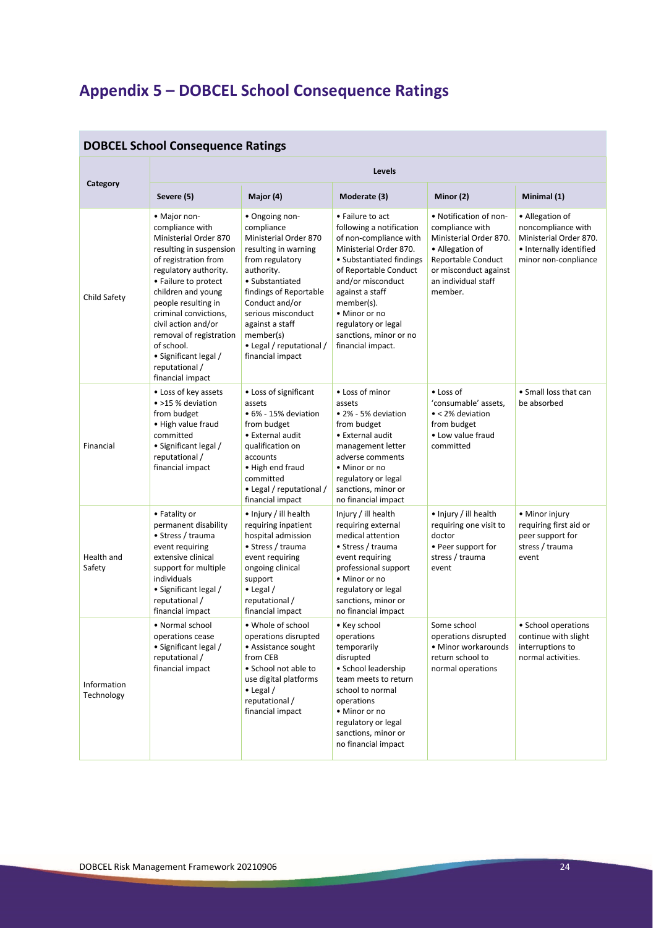# **Appendix 5 – DOBCEL School Consequence Ratings**

| <b>DOBCEL School Consequence Ratings</b> |                                                                                                                                                                                                                                                                                                                                                                   |                                                                                                                                                                                                                                                                                     |                                                                                                                                                                                                                                                                                                    |                                                                                                                                                                         |                                                                                                                    |  |  |
|------------------------------------------|-------------------------------------------------------------------------------------------------------------------------------------------------------------------------------------------------------------------------------------------------------------------------------------------------------------------------------------------------------------------|-------------------------------------------------------------------------------------------------------------------------------------------------------------------------------------------------------------------------------------------------------------------------------------|----------------------------------------------------------------------------------------------------------------------------------------------------------------------------------------------------------------------------------------------------------------------------------------------------|-------------------------------------------------------------------------------------------------------------------------------------------------------------------------|--------------------------------------------------------------------------------------------------------------------|--|--|
| Category                                 | Levels                                                                                                                                                                                                                                                                                                                                                            |                                                                                                                                                                                                                                                                                     |                                                                                                                                                                                                                                                                                                    |                                                                                                                                                                         |                                                                                                                    |  |  |
|                                          | Severe (5)                                                                                                                                                                                                                                                                                                                                                        | Major (4)                                                                                                                                                                                                                                                                           | Moderate (3)                                                                                                                                                                                                                                                                                       | Minor (2)                                                                                                                                                               | Minimal (1)                                                                                                        |  |  |
| Child Safety                             | • Major non-<br>compliance with<br>Ministerial Order 870<br>resulting in suspension<br>of registration from<br>regulatory authority.<br>• Failure to protect<br>children and young<br>people resulting in<br>criminal convictions,<br>civil action and/or<br>removal of registration<br>of school.<br>• Significant legal /<br>reputational /<br>financial impact | • Ongoing non-<br>compliance<br>Ministerial Order 870<br>resulting in warning<br>from regulatory<br>authority.<br>• Substantiated<br>findings of Reportable<br>Conduct and/or<br>serious misconduct<br>against a staff<br>member(s)<br>• Legal / reputational /<br>financial impact | • Failure to act<br>following a notification<br>of non-compliance with<br>Ministerial Order 870.<br>• Substantiated findings<br>of Reportable Conduct<br>and/or misconduct<br>against a staff<br>member(s).<br>• Minor or no<br>regulatory or legal<br>sanctions, minor or no<br>financial impact. | • Notification of non-<br>compliance with<br>Ministerial Order 870.<br>• Allegation of<br>Reportable Conduct<br>or misconduct against<br>an individual staff<br>member. | • Allegation of<br>noncompliance with<br>Ministerial Order 870.<br>• Internally identified<br>minor non-conpliance |  |  |
| Financial                                | • Loss of key assets<br>• >15 % deviation<br>from budget<br>• High value fraud<br>committed<br>• Significant legal /<br>reputational /<br>financial impact                                                                                                                                                                                                        | • Loss of significant<br>assets<br>• 6% - 15% deviation<br>from budget<br>• External audit<br>qualification on<br>accounts<br>• High end fraud<br>committed<br>• Legal / reputational /<br>financial impact                                                                         | • Loss of minor<br>assets<br>• 2% - 5% deviation<br>from budget<br>• External audit<br>management letter<br>adverse comments<br>• Minor or no<br>regulatory or legal<br>sanctions, minor or<br>no financial impact                                                                                 | • Loss of<br>'consumable' assets,<br>• < 2% deviation<br>from budget<br>• Low value fraud<br>committed                                                                  | • Small loss that can<br>be absorbed                                                                               |  |  |
| Health and<br>Safety                     | • Fatality or<br>permanent disability<br>• Stress / trauma<br>event requiring<br>extensive clinical<br>support for multiple<br>individuals<br>• Significant legal /<br>reputational /<br>financial impact                                                                                                                                                         | • Injury / ill health<br>requiring inpatient<br>hospital admission<br>• Stress / trauma<br>event requiring<br>ongoing clinical<br>support<br>$\bullet$ Legal /<br>reputational /<br>financial impact                                                                                | Injury / ill health<br>requiring external<br>medical attention<br>• Stress / trauma<br>event requiring<br>professional support<br>• Minor or no<br>regulatory or legal<br>sanctions, minor or<br>no financial impact                                                                               | • Injury / ill health<br>requiring one visit to<br>doctor<br>• Peer support for<br>stress / trauma<br>event                                                             | • Minor injury<br>requiring first aid or<br>peer support for<br>stress / trauma<br>event                           |  |  |
| Information<br>Technology                | • Normal school<br>operations cease<br>• Significant legal /<br>reputational /<br>financial impact                                                                                                                                                                                                                                                                | • Whole of school<br>operations disrupted<br>• Assistance sought<br>from CEB<br>• School not able to<br>use digital platforms<br>$\bullet$ Legal /<br>reputational /<br>financial impact                                                                                            | • Key school<br>operations<br>temporarily<br>disrupted<br>• School leadership<br>team meets to return<br>school to normal<br>operations<br>• Minor or no<br>regulatory or legal<br>sanctions, minor or<br>no financial impact                                                                      | Some school<br>operations disrupted<br>• Minor workarounds<br>return school to<br>normal operations                                                                     | • School operations<br>continue with slight<br>interruptions to<br>normal activities.                              |  |  |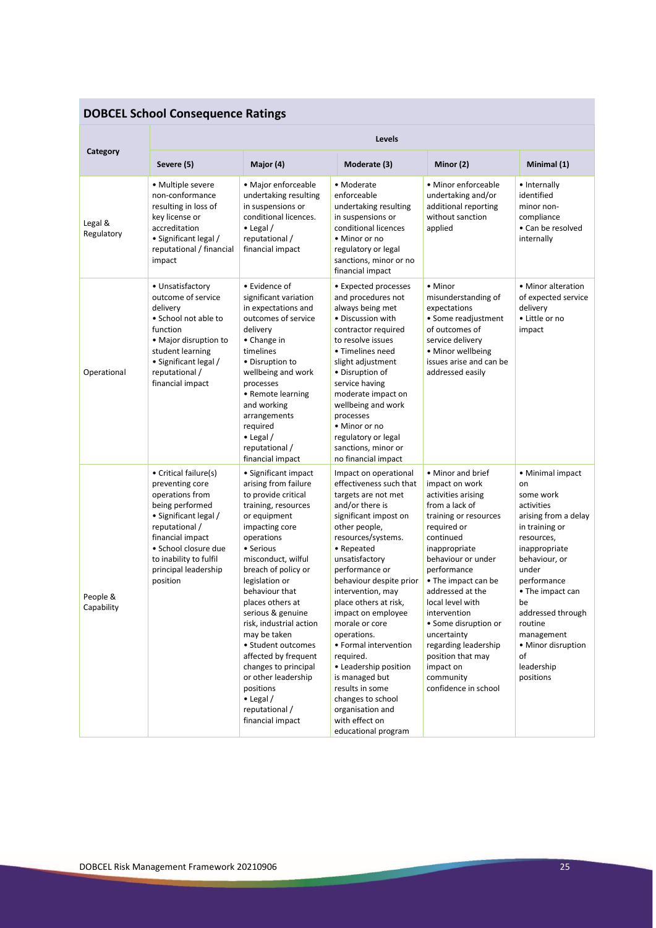# **DOBCEL School Consequence Ratings**

| Category               | Levels                                                                                                                                                                                                                              |                                                                                                                                                                                                                                                                                                                                                                                                                                                                                                   |                                                                                                                                                                                                                                                                                                                                                                                                                                                                                                                                    |                                                                                                                                                                                                                                                                                                                                                                                                             |                                                                                                                                                                                                                                                                                                    |  |  |
|------------------------|-------------------------------------------------------------------------------------------------------------------------------------------------------------------------------------------------------------------------------------|---------------------------------------------------------------------------------------------------------------------------------------------------------------------------------------------------------------------------------------------------------------------------------------------------------------------------------------------------------------------------------------------------------------------------------------------------------------------------------------------------|------------------------------------------------------------------------------------------------------------------------------------------------------------------------------------------------------------------------------------------------------------------------------------------------------------------------------------------------------------------------------------------------------------------------------------------------------------------------------------------------------------------------------------|-------------------------------------------------------------------------------------------------------------------------------------------------------------------------------------------------------------------------------------------------------------------------------------------------------------------------------------------------------------------------------------------------------------|----------------------------------------------------------------------------------------------------------------------------------------------------------------------------------------------------------------------------------------------------------------------------------------------------|--|--|
|                        | Severe (5)                                                                                                                                                                                                                          | Major (4)                                                                                                                                                                                                                                                                                                                                                                                                                                                                                         | Moderate (3)                                                                                                                                                                                                                                                                                                                                                                                                                                                                                                                       | Minor (2)                                                                                                                                                                                                                                                                                                                                                                                                   | Minimal (1)                                                                                                                                                                                                                                                                                        |  |  |
| Legal &<br>Regulatory  | • Multiple severe<br>non-conformance<br>resulting in loss of<br>key license or<br>accreditation<br>• Significant legal /<br>reputational / financial<br>impact                                                                      | • Major enforceable<br>undertaking resulting<br>in suspensions or<br>conditional licences.<br>$\bullet$ Legal /<br>reputational /<br>financial impact                                                                                                                                                                                                                                                                                                                                             | • Moderate<br>enforceable<br>undertaking resulting<br>in suspensions or<br>conditional licences<br>• Minor or no<br>regulatory or legal<br>sanctions, minor or no<br>financial impact                                                                                                                                                                                                                                                                                                                                              | • Minor enforceable<br>undertaking and/or<br>additional reporting<br>without sanction<br>applied                                                                                                                                                                                                                                                                                                            | • Internally<br>identified<br>minor non-<br>compliance<br>• Can be resolved<br>internally                                                                                                                                                                                                          |  |  |
| Operational            | • Unsatisfactory<br>outcome of service<br>delivery<br>• School not able to<br>function<br>• Major disruption to<br>student learning<br>• Significant legal /<br>reputational /<br>financial impact                                  | • Evidence of<br>significant variation<br>in expectations and<br>outcomes of service<br>delivery<br>• Change in<br>timelines<br>• Disruption to<br>wellbeing and work<br>processes<br>• Remote learning<br>and working<br>arrangements<br>required<br>$\bullet$ Legal /<br>reputational /<br>financial impact                                                                                                                                                                                     | • Expected processes<br>and procedures not<br>always being met<br>• Discussion with<br>contractor required<br>to resolve issues<br>• Timelines need<br>slight adjustment<br>• Disruption of<br>service having<br>moderate impact on<br>wellbeing and work<br>processes<br>• Minor or no<br>regulatory or legal<br>sanctions, minor or<br>no financial impact                                                                                                                                                                       | • Minor<br>misunderstanding of<br>expectations<br>• Some readjustment<br>of outcomes of<br>service delivery<br>• Minor wellbeing<br>issues arise and can be<br>addressed easily                                                                                                                                                                                                                             | • Minor alteration<br>of expected service<br>delivery<br>• Little or no<br>impact                                                                                                                                                                                                                  |  |  |
| People &<br>Capability | • Critical failure(s)<br>preventing core<br>operations from<br>being performed<br>• Significant legal /<br>reputational /<br>financial impact<br>· School closure due<br>to inability to fulfil<br>principal leadership<br>position | • Significant impact<br>arising from failure<br>to provide critical<br>training, resources<br>or equipment<br>impacting core<br>operations<br>• Serious<br>misconduct, wilful<br>breach of policy or<br>legislation or<br>behaviour that<br>places others at<br>serious & genuine<br>risk, industrial action<br>may be taken<br>• Student outcomes<br>affected by frequent<br>changes to principal<br>or other leadership<br>positions<br>$\bullet$ Legal /<br>reputational /<br>financial impact | Impact on operational<br>effectiveness such that<br>targets are not met<br>and/or there is<br>significant impost on<br>other people,<br>resources/systems.<br>• Repeated<br>unsatisfactory<br>performance or<br>behaviour despite prior<br>intervention, may<br>place others at risk,<br>impact on employee<br>morale or core<br>operations.<br>• Formal intervention<br>required.<br>• Leadership position<br>is managed but<br>results in some<br>changes to school<br>organisation and<br>with effect on<br>educational program | • Minor and brief<br>impact on work<br>activities arising<br>from a lack of<br>training or resources<br>required or<br>continued<br>inappropriate<br>behaviour or under<br>performance<br>• The impact can be<br>addressed at the<br>local level with<br>intervention<br>• Some disruption or<br>uncertainty<br>regarding leadership<br>position that may<br>impact on<br>community<br>confidence in school | • Minimal impact<br>on<br>some work<br>activities<br>arising from a delay<br>in training or<br>resources,<br>inappropriate<br>behaviour, or<br>under<br>performance<br>• The impact can<br>be<br>addressed through<br>routine<br>management<br>• Minor disruption<br>οf<br>leadership<br>positions |  |  |